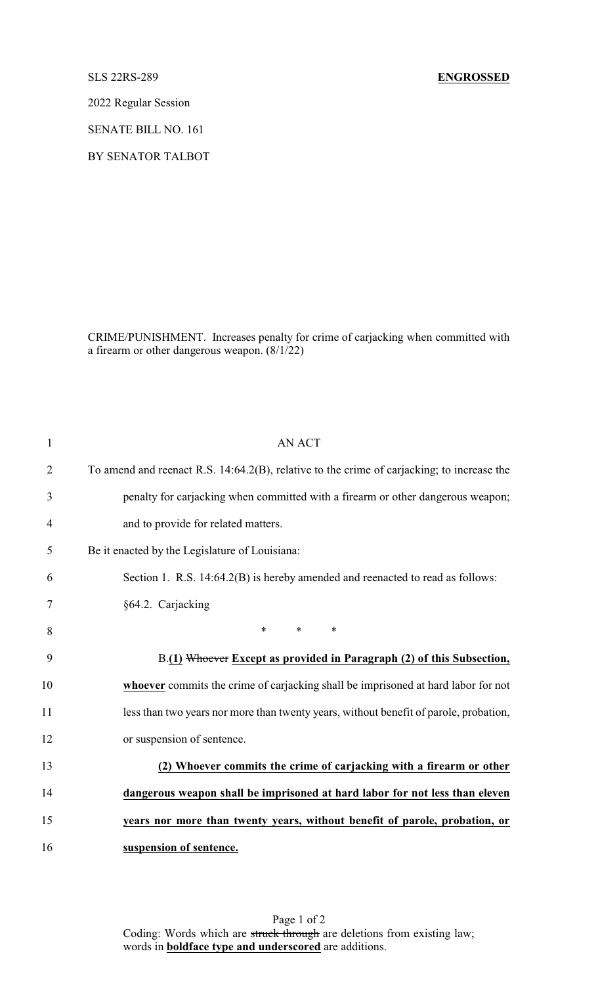2022 Regular Session

SENATE BILL NO. 161

BY SENATOR TALBOT

CRIME/PUNISHMENT. Increases penalty for crime of carjacking when committed with a firearm or other dangerous weapon. (8/1/22)

| $\mathbf{1}$   | <b>AN ACT</b>                                                                              |
|----------------|--------------------------------------------------------------------------------------------|
| $\overline{2}$ | To amend and reenact R.S. 14:64.2(B), relative to the crime of carjacking; to increase the |
| 3              | penalty for carjacking when committed with a firearm or other dangerous weapon;            |
| 4              | and to provide for related matters.                                                        |
| 5              | Be it enacted by the Legislature of Louisiana:                                             |
| 6              | Section 1. R.S. 14:64.2(B) is hereby amended and reenacted to read as follows:             |
| 7              | §64.2. Carjacking                                                                          |
| 8              | $\ast$<br>$*$ $*$<br>$\ast$                                                                |
| 9              | B.(1) Whoever Except as provided in Paragraph (2) of this Subsection,                      |
| 10             | whoever commits the crime of carjacking shall be imprisoned at hard labor for not          |
| 11             | less than two years nor more than twenty years, without benefit of parole, probation,      |
| 12             | or suspension of sentence.                                                                 |
| 13             | (2) Whoever commits the crime of carjacking with a firearm or other                        |
| 14             | dangerous weapon shall be imprisoned at hard labor for not less than eleven                |
| 15             | years nor more than twenty years, without benefit of parole, probation, or                 |
| 16             | suspension of sentence.                                                                    |